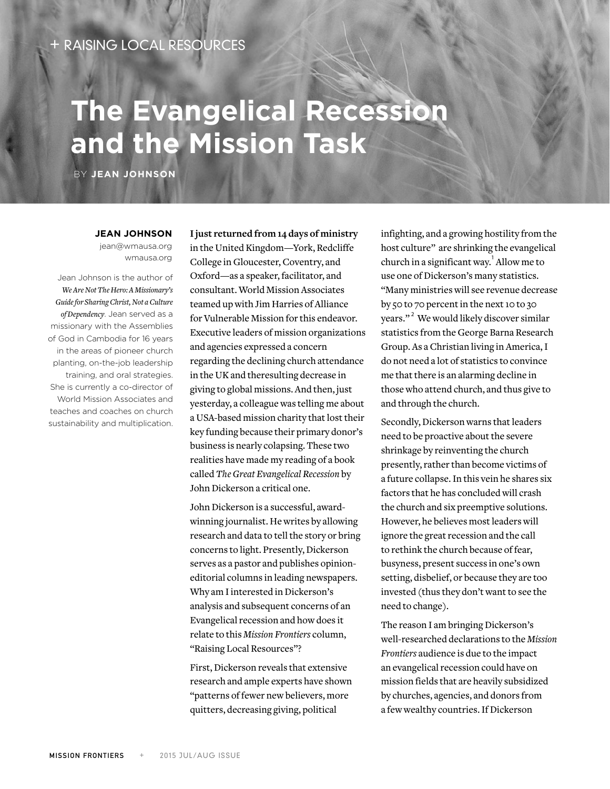## RAISING LOCAL RESOURCES

## **The Evangelical Recession and the Mission Task**

BY **JEAN JOHNSON**

**JEAN JOHNSON** jean@wmausa.org wmausa.org

Jean Johnson is the author of *We Are Not The Hero: A Missionary's Guide for Sharing Christ, Not a Culture of Dependency*. Jean served as a missionary with the Assemblies of God in Cambodia for 16 years in the areas of pioneer church planting, on-the-job leadership training, and oral strategies. She is currently a co-director of World Mission Associates and teaches and coaches on church sustainability and multiplication. **I just returned from 14 days of ministry**  in the United Kingdom—York, Redcliffe College in Gloucester, Coventry, and Oxford—as a speaker, facilitator, and consultant. World Mission Associates teamed up with Jim Harries of Alliance for Vulnerable Mission for this endeavor. Executive leaders of mission organizations and agencies expressed a concern regarding the declining church attendance in the UK and theresulting decrease in giving to global missions. And then, just yesterday, a colleague was telling me about a USA-based mission charity that lost their key funding because their primary donor's business is nearly colapsing. These two realities have made my reading of a book called *The Great Evangelical Recession* by John Dickerson a critical one.

John Dickerson is a successful, awardwinning journalist. He writes by allowing research and data to tell the story or bring concerns to light. Presently, Dickerson serves as a pastor and publishes opinioneditorial columns in leading newspapers. Why am I interested in Dickerson's analysis and subsequent concerns of an Evangelical recession and how does it relate to this *Mission Frontiers* column, "Raising Local Resources"?

First, Dickerson reveals that extensive research and ample experts have shown "patterns of fewer new believers, more quitters, decreasing giving, political

infighting, and a growing hostility from the host culture" are shrinking the evangelical church in a significant way. $^1$  Allow me to use one of Dickerson's many statistics. "Many ministries will see revenue decrease by 50 to 70 percent in the next 10 to 30 years."<sup>2</sup> We would likely discover similar statistics from the George Barna Research Group. As a Christian living in America, I do not need a lot of statistics to convince me that there is an alarming decline in those who attend church, and thus give to and through the church.

Secondly, Dickerson warns that leaders need to be proactive about the severe shrinkage by reinventing the church presently, rather than become victims of a future collapse. In this vein he shares six factors that he has concluded will crash the church and six preemptive solutions. However, he believes most leaders will ignore the great recession and the call to rethink the church because of fear, busyness, present success in one's own setting, disbelief, or because they are too invested (thus they don't want to see the need to change).

The reason I am bringing Dickerson's well-researched declarations to the *Mission Frontiers* audience is due to the impact an evangelical recession could have on mission fields that are heavily subsidized by churches, agencies, and donors from a few wealthy countries. If Dickerson